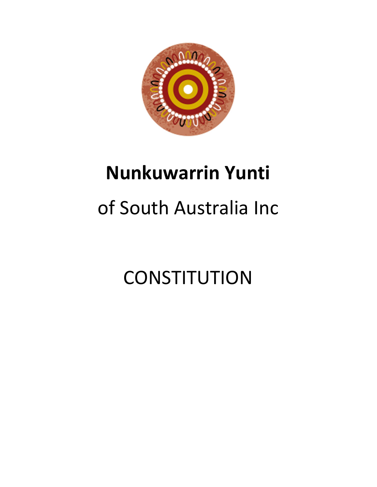

## **Nunkuwarrin Yunti**

# of South Australia Inc

**CONSTITUTION**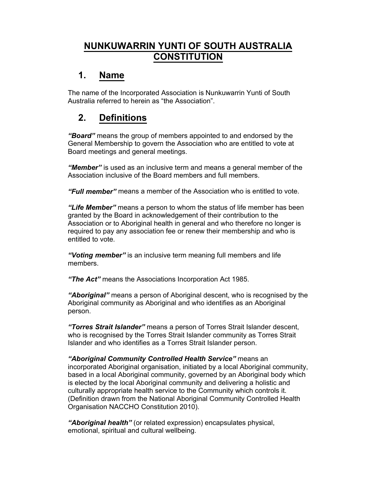## **NUNKUWARRIN YUNTI OF SOUTH AUSTRALIA CONSTITUTION**

## **1. Name**

The name of the Incorporated Association is Nunkuwarrin Yunti of South Australia referred to herein as "the Association".

## **2. Definitions**

*³Board´* means the group of members appointed to and endorsed by the General Membership to govern the Association who are entitled to vote at Board meetings and general meetings.

*³Member´* is used as an inclusive term and means a general member of the Association inclusive of the Board members and full members.

*³Full member´* means a member of the Association who is entitled to vote.

*³Life Member´* means a person to whom the status of life member has been granted by the Board in acknowledgement of their contribution to the Association or to Aboriginal health in general and who therefore no longer is required to pay any association fee or renew their membership and who is entitled to vote.

*³Voting member´* is an inclusive term meaning full members and life members.

*³The Act´* means the Associations Incorporation Act 1985.

*³Aboriginal´* means a person of Aboriginal descent, who is recognised by the Aboriginal community as Aboriginal and who identifies as an Aboriginal person.

*³Torres Strait Islander´* means a person of Torres Strait Islander descent, who is recognised by the Torres Strait Islander community as Torres Strait Islander and who identifies as a Torres Strait Islander person.

*³Aboriginal Community Controlled Health Service´* means an incorporated Aboriginal organisation, initiated by a local Aboriginal community, based in a local Aboriginal community, governed by an Aboriginal body which is elected by the local Aboriginal community and delivering a holistic and culturally appropriate health service to the Community which controls it. (Definition drawn from the National Aboriginal Community Controlled Health Organisation NACCHO Constitution 2010).

*³Aboriginal health´* (or related expression) encapsulates physical, emotional, spiritual and cultural wellbeing.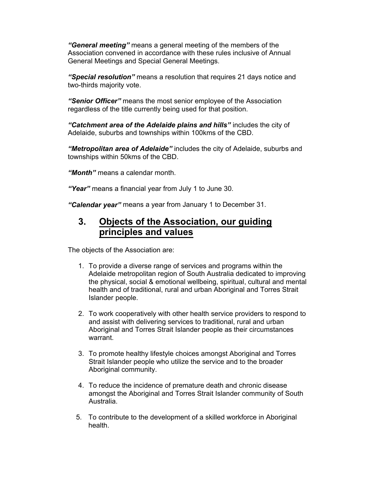*³General meeting´* means a general meeting of the members of the Association convened in accordance with these rules inclusive of Annual General Meetings and Special General Meetings.

*³Special resolution´* means a resolution that requires 21 days notice and two-thirds majority vote.

*³Senior Officer´* means the most senior employee of the Association regardless of the title currently being used for that position.

*³Catchment area of the Adelaide plains and hills´* includes the city of Adelaide, suburbs and townships within 100kms of the CBD.

*³Metropolitan area of Adelaide´* includes the city of Adelaide, suburbs and townships within 50kms of the CBD.

*³Month´* means a calendar month.

*³Year´* means a financial year from July 1 to June 30.

*³Calendar year´* means a year from January 1 to December 31.

## **3. Objects of the Association, our guiding principles and values**

The objects of the Association are:

- 1. To provide a diverse range of services and programs within the Adelaide metropolitan region of South Australia dedicated to improving the physical, social & emotional wellbeing, spiritual, cultural and mental health and of traditional, rural and urban Aboriginal and Torres Strait Islander people.
- 2. To work cooperatively with other health service providers to respond to and assist with delivering services to traditional, rural and urban Aboriginal and Torres Strait Islander people as their circumstances warrant.
- 3. To promote healthy lifestyle choices amongst Aboriginal and Torres Strait Islander people who utilize the service and to the broader Aboriginal community.
- 4. To reduce the incidence of premature death and chronic disease amongst the Aboriginal and Torres Strait Islander community of South Australia.
- 5. To contribute to the development of a skilled workforce in Aboriginal health.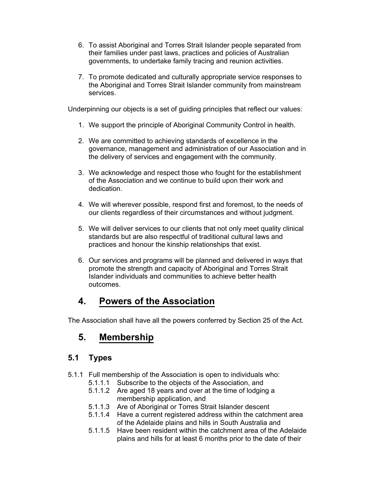- 6. To assist Aboriginal and Torres Strait Islander people separated from their families under past laws, practices and policies of Australian governments, to undertake family tracing and reunion activities.
- 7. To promote dedicated and culturally appropriate service responses to the Aboriginal and Torres Strait Islander community from mainstream services.

Underpinning our objects is a set of guiding principles that reflect our values:

- 1. We support the principle of Aboriginal Community Control in health.
- 2. We are committed to achieving standards of excellence in the governance, management and administration of our Association and in the delivery of services and engagement with the community.
- 3. We acknowledge and respect those who fought for the establishment of the Association and we continue to build upon their work and dedication.
- 4. We will wherever possible, respond first and foremost, to the needs of our clients regardless of their circumstances and without judgment.
- 5. We will deliver services to our clients that not only meet quality clinical standards but are also respectful of traditional cultural laws and practices and honour the kinship relationships that exist.
- 6. Our services and programs will be planned and delivered in ways that promote the strength and capacity of Aboriginal and Torres Strait Islander individuals and communities to achieve better health outcomes.

## **4. Powers of the Association**

The Association shall have all the powers conferred by Section 25 of the Act.

## **5. Membership**

### **5.1 Types**

- 5.1.1 Full membership of the Association is open to individuals who:
	- 5.1.1.1 Subscribe to the objects of the Association, and
	- 5.1.1.2 Are aged 18 years and over at the time of lodging a membership application, and
	- 5.1.1.3 Are of Aboriginal or Torres Strait Islander descent
	- 5.1.1.4 Have a current registered address within the catchment area of the Adelaide plains and hills in South Australia and
	- 5.1.1.5 Have been resident within the catchment area of the Adelaide plains and hills for at least 6 months prior to the date of their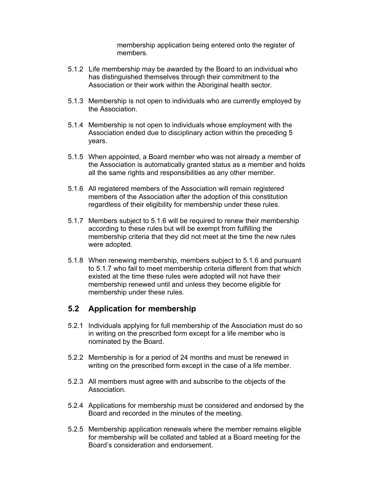membership application being entered onto the register of members.

- 5.1.2 Life membership may be awarded by the Board to an individual who has distinguished themselves through their commitment to the Association or their work within the Aboriginal health sector.
- 5.1.3 Membership is not open to individuals who are currently employed by the Association.
- 5.1.4 Membership is not open to individuals whose employment with the Association ended due to disciplinary action within the preceding 5 years.
- 5.1.5 When appointed, a Board member who was not already a member of the Association is automatically granted status as a member and holds all the same rights and responsibilities as any other member.
- 5.1.6 All registered members of the Association will remain registered members of the Association after the adoption of this constitution regardless of their eligibility for membership under these rules.
- 5.1.7 Members subject to 5.1.6 will be required to renew their membership according to these rules but will be exempt from fulfilling the membership criteria that they did not meet at the time the new rules were adopted.
- 5.1.8 When renewing membership, members subject to 5.1.6 and pursuant to 5.1.7 who fail to meet membership criteria different from that which existed at the time these rules were adopted will not have their membership renewed until and unless they become eligible for membership under these rules.

### **5.2 Application for membership**

- 5.2.1 Individuals applying for full membership of the Association must do so in writing on the prescribed form except for a life member who is nominated by the Board.
- 5.2.2 Membership is for a period of 24 months and must be renewed in writing on the prescribed form except in the case of a life member.
- 5.2.3 All members must agree with and subscribe to the objects of the Association.
- 5.2.4 Applications for membership must be considered and endorsed by the Board and recorded in the minutes of the meeting.
- 5.2.5 Membership application renewals where the member remains eligible for membership will be collated and tabled at a Board meeting for the Board's consideration and endorsement.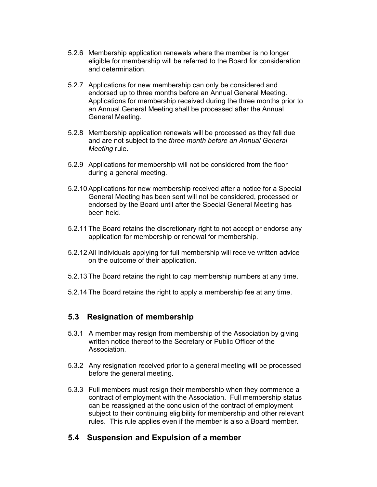- 5.2.6 Membership application renewals where the member is no longer eligible for membership will be referred to the Board for consideration and determination.
- 5.2.7 Applications for new membership can only be considered and endorsed up to three months before an Annual General Meeting. Applications for membership received during the three months prior to an Annual General Meeting shall be processed after the Annual General Meeting.
- 5.2.8 Membership application renewals will be processed as they fall due and are not subject to the *three month before an Annual General Meeting* rule.
- 5.2.9 Applications for membership will not be considered from the floor during a general meeting.
- 5.2.10 Applications for new membership received after a notice for a Special General Meeting has been sent will not be considered, processed or endorsed by the Board until after the Special General Meeting has been held.
- 5.2.11 The Board retains the discretionary right to not accept or endorse any application for membership or renewal for membership.
- 5.2.12 All individuals applying for full membership will receive written advice on the outcome of their application.
- 5.2.13 The Board retains the right to cap membership numbers at any time.
- 5.2.14 The Board retains the right to apply a membership fee at any time.

#### **5.3 Resignation of membership**

- 5.3.1 A member may resign from membership of the Association by giving written notice thereof to the Secretary or Public Officer of the Association.
- 5.3.2 Any resignation received prior to a general meeting will be processed before the general meeting.
- 5.3.3 Full members must resign their membership when they commence a contract of employment with the Association. Full membership status can be reassigned at the conclusion of the contract of employment subject to their continuing eligibility for membership and other relevant rules. This rule applies even if the member is also a Board member.

#### **5.4 Suspension and Expulsion of a member**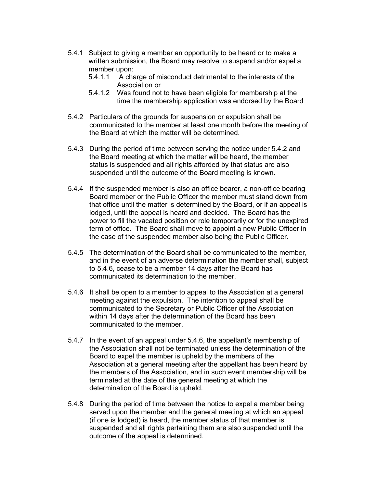- 5.4.1 Subject to giving a member an opportunity to be heard or to make a written submission, the Board may resolve to suspend and/or expel a member upon:
	- 5.4.1.1 A charge of misconduct detrimental to the interests of the Association or
	- 5.4.1.2 Was found not to have been eligible for membership at the time the membership application was endorsed by the Board
- 5.4.2 Particulars of the grounds for suspension or expulsion shall be communicated to the member at least one month before the meeting of the Board at which the matter will be determined.
- 5.4.3 During the period of time between serving the notice under 5.4.2 and the Board meeting at which the matter will be heard, the member status is suspended and all rights afforded by that status are also suspended until the outcome of the Board meeting is known.
- 5.4.4 If the suspended member is also an office bearer, a non-office bearing Board member or the Public Officer the member must stand down from that office until the matter is determined by the Board, or if an appeal is lodged, until the appeal is heard and decided. The Board has the power to fill the vacated position or role temporarily or for the unexpired term of office. The Board shall move to appoint a new Public Officer in the case of the suspended member also being the Public Officer.
- 5.4.5 The determination of the Board shall be communicated to the member, and in the event of an adverse determination the member shall, subject to 5.4.6, cease to be a member 14 days after the Board has communicated its determination to the member.
- 5.4.6 It shall be open to a member to appeal to the Association at a general meeting against the expulsion. The intention to appeal shall be communicated to the Secretary or Public Officer of the Association within 14 days after the determination of the Board has been communicated to the member.
- 5.4.7 In the event of an appeal under 5.4.6, the appellant's membership of the Association shall not be terminated unless the determination of the Board to expel the member is upheld by the members of the Association at a general meeting after the appellant has been heard by the members of the Association, and in such event membership will be terminated at the date of the general meeting at which the determination of the Board is upheld.
- 5.4.8 During the period of time between the notice to expel a member being served upon the member and the general meeting at which an appeal (if one is lodged) is heard, the member status of that member is suspended and all rights pertaining them are also suspended until the outcome of the appeal is determined.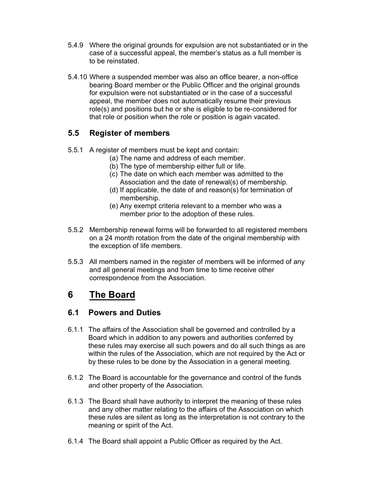- 5.4.9 Where the original grounds for expulsion are not substantiated or in the case of a successful appeal, the member's status as a full member is to be reinstated.
- 5.4.10 Where a suspended member was also an office bearer, a non-office bearing Board member or the Public Officer and the original grounds for expulsion were not substantiated or in the case of a successful appeal, the member does not automatically resume their previous role(s) and positions but he or she is eligible to be re-considered for that role or position when the role or position is again vacated.

## **5.5 Register of members**

- 5.5.1 A register of members must be kept and contain:
	- (a) The name and address of each member.
	- (b) The type of membership either full or life.
	- (c) The date on which each member was admitted to the Association and the date of renewal(s) of membership.
	- (d) If applicable, the date of and reason(s) for termination of membership.
	- (e) Any exempt criteria relevant to a member who was a member prior to the adoption of these rules.
- 5.5.2 Membership renewal forms will be forwarded to all registered members on a 24 month rotation from the date of the original membership with the exception of life members.
- 5.5.3 All members named in the register of members will be informed of any and all general meetings and from time to time receive other correspondence from the Association.

## **6 The Board**

### **6.1 Powers and Duties**

- 6.1.1 The affairs of the Association shall be governed and controlled by a Board which in addition to any powers and authorities conferred by these rules may exercise all such powers and do all such things as are within the rules of the Association, which are not required by the Act or by these rules to be done by the Association in a general meeting.
- 6.1.2 The Board is accountable for the governance and control of the funds and other property of the Association.
- 6.1.3 The Board shall have authority to interpret the meaning of these rules and any other matter relating to the affairs of the Association on which these rules are silent as long as the interpretation is not contrary to the meaning or spirit of the Act.
- 6.1.4 The Board shall appoint a Public Officer as required by the Act.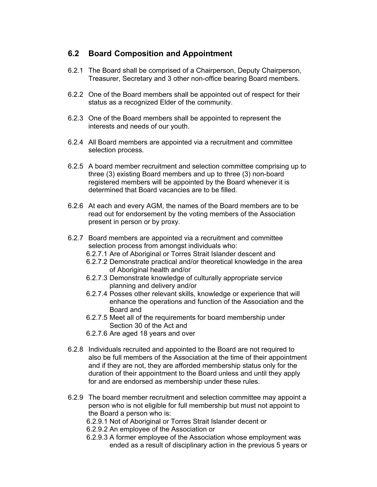#### **6.2 Board Composition and Appointment**

- 6.2.1 The Board shall be comprised of a Chairperson, Deputy Chairperson, Treasurer, Secretary and 3 other non-office bearing Board members.
- 6.2.2 One of the Board members shall be appointed out of respect for their status as a recognized Elder of the community.
- 6.2.3 One of the Board members shall be appointed to represent the interests and needs of our youth.
- 6.2.4 All Board members are appointed via a recruitment and committee selection process.
- 6.2.5 A board member recruitment and selection committee comprising up to three (3) existing Board members and up to three (3) non-board registered members will be appointed by the Board whenever it is determined that Board vacancies are to be filled.
- 6.2.6 At each and every AGM, the names of the Board members are to be read out for endorsement by the voting members of the Association present in person or by proxy.
- 6.2.7 Board members are appointed via a recruitment and committee selection process from amongst individuals who:
	- 6.2.7.1 Are of Aboriginal or Torres Strait Islander descent and
	- 6.2.7.2 Demonstrate practical and/or theoretical knowledge in the area of Aboriginal health and/or
	- 6.2.7.3 Demonstrate knowledge of culturally appropriate service planning and delivery and/or
	- 6.2.7.4 Posses other relevant skills, knowledge or experience that will enhance the operations and function of the Association and the Board and
	- 6.2.7.5 Meet all of the requirements for board membership under Section 30 of the Act and
	- 6.2.7.6 Are aged 18 years and over
- 6.2.8 Individuals recruited and appointed to the Board are not required to also be full members of the Association at the time of their appointment and if they are not, they are afforded membership status only for the duration of their appointment to the Board unless and until they apply for and are endorsed as membership under these rules.
- 6.2.9 The board member recruitment and selection committee may appoint a person who is not eligible for full membership but must not appoint to the Board a person who is:
	- 6.2.9.1 Not of Aboriginal or Torres Strait Islander decent or
	- 6.2.9.2 An employee of the Association or
	- 6.2.9.3 A former employee of the Association whose employment was ended as a result of disciplinary action in the previous 5 years or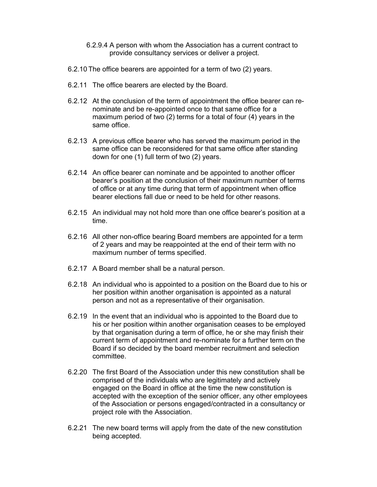- 6.2.9.4 A person with whom the Association has a current contract to provide consultancy services or deliver a project.
- 6.2.10 The office bearers are appointed for a term of two (2) years.
- 6.2.11 The office bearers are elected by the Board.
- 6.2.12 At the conclusion of the term of appointment the office bearer can renominate and be re-appointed once to that same office for a maximum period of two (2) terms for a total of four (4) years in the same office.
- 6.2.13 A previous office bearer who has served the maximum period in the same office can be reconsidered for that same office after standing down for one (1) full term of two (2) years.
- 6.2.14 An office bearer can nominate and be appointed to another officer bearer's position at the conclusion of their maximum number of terms of office or at any time during that term of appointment when office bearer elections fall due or need to be held for other reasons.
- 6.2.15 An individual may not hold more than one office bearer's position at a time.
- 6.2.16 All other non-office bearing Board members are appointed for a term of 2 years and may be reappointed at the end of their term with no maximum number of terms specified.
- 6.2.17 A Board member shall be a natural person.
- 6.2.18 An individual who is appointed to a position on the Board due to his or her position within another organisation is appointed as a natural person and not as a representative of their organisation.
- 6.2.19 In the event that an individual who is appointed to the Board due to his or her position within another organisation ceases to be employed by that organisation during a term of office, he or she may finish their current term of appointment and re-nominate for a further term on the Board if so decided by the board member recruitment and selection committee.
- 6.2.20 The first Board of the Association under this new constitution shall be comprised of the individuals who are legitimately and actively engaged on the Board in office at the time the new constitution is accepted with the exception of the senior officer, any other employees of the Association or persons engaged/contracted in a consultancy or project role with the Association.
- 6.2.21 The new board terms will apply from the date of the new constitution being accepted.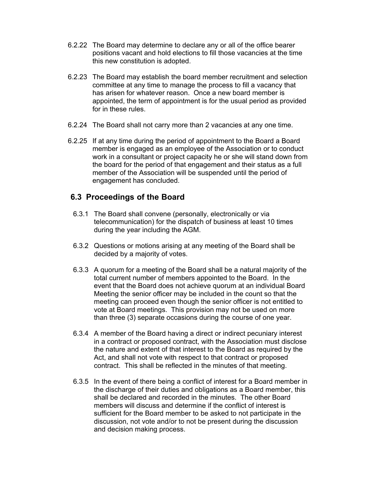- 6.2.22 The Board may determine to declare any or all of the office bearer positions vacant and hold elections to fill those vacancies at the time this new constitution is adopted.
- 6.2.23 The Board may establish the board member recruitment and selection committee at any time to manage the process to fill a vacancy that has arisen for whatever reason. Once a new board member is appointed, the term of appointment is for the usual period as provided for in these rules.
- 6.2.24 The Board shall not carry more than 2 vacancies at any one time.
- 6.2.25 If at any time during the period of appointment to the Board a Board member is engaged as an employee of the Association or to conduct work in a consultant or project capacity he or she will stand down from the board for the period of that engagement and their status as a full member of the Association will be suspended until the period of engagement has concluded.

#### **6.3 Proceedings of the Board**

- 6.3.1 The Board shall convene (personally, electronically or via telecommunication) for the dispatch of business at least 10 times during the year including the AGM.
- 6.3.2 Questions or motions arising at any meeting of the Board shall be decided by a majority of votes.
- 6.3.3 A quorum for a meeting of the Board shall be a natural majority of the total current number of members appointed to the Board. In the event that the Board does not achieve quorum at an individual Board Meeting the senior officer may be included in the count so that the meeting can proceed even though the senior officer is not entitled to vote at Board meetings. This provision may not be used on more than three (3) separate occasions during the course of one year.
- 6.3.4 A member of the Board having a direct or indirect pecuniary interest in a contract or proposed contract, with the Association must disclose the nature and extent of that interest to the Board as required by the Act, and shall not vote with respect to that contract or proposed contract. This shall be reflected in the minutes of that meeting.
- 6.3.5 In the event of there being a conflict of interest for a Board member in the discharge of their duties and obligations as a Board member, this shall be declared and recorded in the minutes. The other Board members will discuss and determine if the conflict of interest is sufficient for the Board member to be asked to not participate in the discussion, not vote and/or to not be present during the discussion and decision making process.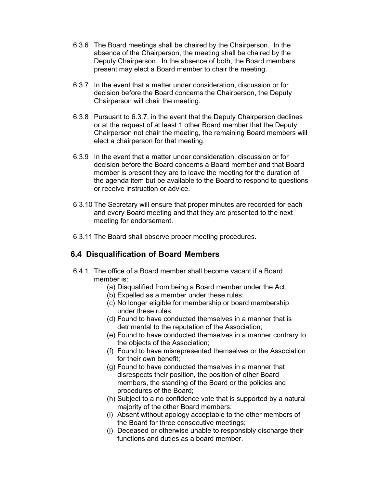- 6.3.6 The Board meetings shall be chaired by the Chairperson. In the absence of the Chairperson, the meeting shall be chaired by the Deputy Chairperson. In the absence of both, the Board members present may elect a Board member to chair the meeting.
- 6.3.7 In the event that a matter under consideration, discussion or for decision before the Board concerns the Chairperson, the Deputy Chairperson will chair the meeting.
- 6.3.8 Pursuant to 6.3.7, in the event that the Deputy Chairperson declines or at the request of at least 1 other Board member that the Deputy Chairperson not chair the meeting, the remaining Board members will elect a chairperson for that meeting.
- 6.3.9 In the event that a matter under consideration, discussion or for decision before the Board concerns a Board member and that Board member is present they are to leave the meeting for the duration of the agenda item but be available to the Board to respond to questions or receive instruction or advice.
- 6.3.10 The Secretary will ensure that proper minutes are recorded for each and every Board meeting and that they are presented to the next meeting for endorsement.
- 6.3.11 The Board shall observe proper meeting procedures.

#### **6.4 Disqualification of Board Members**

- 6.4.1 The office of a Board member shall become vacant if a Board member is:
	- (a) Disqualified from being a Board member under the Act;
	- (b) Expelled as a member under these rules;
	- (c) No longer eligible for membership or board membership under these rules;
	- (d) Found to have conducted themselves in a manner that is detrimental to the reputation of the Association;
	- (e) Found to have conducted themselves in a manner contrary to the objects of the Association;
	- (f) Found to have misrepresented themselves or the Association for their own benefit;
	- (g) Found to have conducted themselves in a manner that disrespects their position, the position of other Board members, the standing of the Board or the policies and procedures of the Board;
	- (h) Subject to a no confidence vote that is supported by a natural majority of the other Board members;
	- (i) Absent without apology acceptable to the other members of the Board for three consecutive meetings;
	- (j) Deceased or otherwise unable to responsibly discharge their functions and duties as a board member.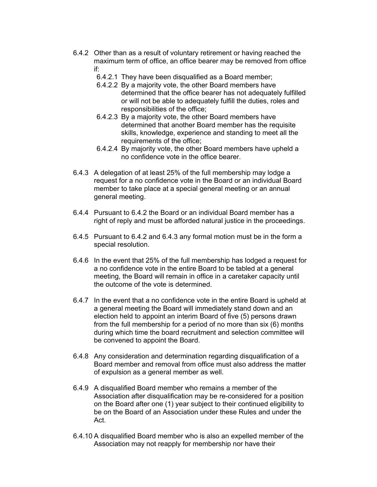- 6.4.2 Other than as a result of voluntary retirement or having reached the maximum term of office, an office bearer may be removed from office if:
	- 6.4.2.1 They have been disqualified as a Board member;
	- 6.4.2.2 By a majority vote, the other Board members have determined that the office bearer has not adequately fulfilled or will not be able to adequately fulfill the duties, roles and responsibilities of the office;
	- 6.4.2.3 By a majority vote, the other Board members have determined that another Board member has the requisite skills, knowledge, experience and standing to meet all the requirements of the office;
	- 6.4.2.4 By majority vote, the other Board members have upheld a no confidence vote in the office bearer.
- 6.4.3 A delegation of at least 25% of the full membership may lodge a request for a no confidence vote in the Board or an individual Board member to take place at a special general meeting or an annual general meeting.
- 6.4.4 Pursuant to 6.4.2 the Board or an individual Board member has a right of reply and must be afforded natural justice in the proceedings.
- 6.4.5 Pursuant to 6.4.2 and 6.4.3 any formal motion must be in the form a special resolution.
- 6.4.6 In the event that 25% of the full membership has lodged a request for a no confidence vote in the entire Board to be tabled at a general meeting, the Board will remain in office in a caretaker capacity until the outcome of the vote is determined.
- 6.4.7 In the event that a no confidence vote in the entire Board is upheld at a general meeting the Board will immediately stand down and an election held to appoint an interim Board of five (5) persons drawn from the full membership for a period of no more than six (6) months during which time the board recruitment and selection committee will be convened to appoint the Board.
- 6.4.8 Any consideration and determination regarding disqualification of a Board member and removal from office must also address the matter of expulsion as a general member as well.
- 6.4.9 A disqualified Board member who remains a member of the Association after disqualification may be re-considered for a position on the Board after one (1) year subject to their continued eligibility to be on the Board of an Association under these Rules and under the Act.
- 6.4.10 A disqualified Board member who is also an expelled member of the Association may not reapply for membership nor have their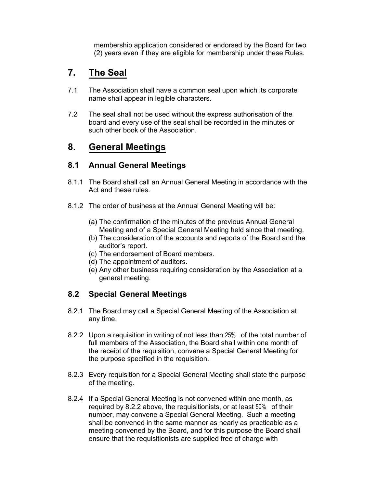membership application considered or endorsed by the Board for two (2) years even if they are eligible for membership under these Rules.

## **7. The Seal**

- 7.1 The Association shall have a common seal upon which its corporate name shall appear in legible characters.
- 7.2 The seal shall not be used without the express authorisation of the board and every use of the seal shall be recorded in the minutes or such other book of the Association.

## **8. General Meetings**

#### **8.1 Annual General Meetings**

- 8.1.1 The Board shall call an Annual General Meeting in accordance with the Act and these rules.
- 8.1.2 The order of business at the Annual General Meeting will be:
	- (a) The confirmation of the minutes of the previous Annual General Meeting and of a Special General Meeting held since that meeting.
	- (b) The consideration of the accounts and reports of the Board and the auditor's report.
	- (c) The endorsement of Board members.
	- (d) The appointment of auditors.
	- (e) Any other business requiring consideration by the Association at a general meeting.

### **8.2 Special General Meetings**

- 8.2.1 The Board may call a Special General Meeting of the Association at any time.
- 8.2.2 Upon a requisition in writing of not less than 25% of the total number of full members of the Association, the Board shall within one month of the receipt of the requisition, convene a Special General Meeting for the purpose specified in the requisition.
- 8.2.3 Every requisition for a Special General Meeting shall state the purpose of the meeting.
- 8.2.4 If a Special General Meeting is not convened within one month, as required by 8.2.2 above, the requisitionists, or at least 50% of their number, may convene a Special General Meeting. Such a meeting shall be convened in the same manner as nearly as practicable as a meeting convened by the Board, and for this purpose the Board shall ensure that the requisitionists are supplied free of charge with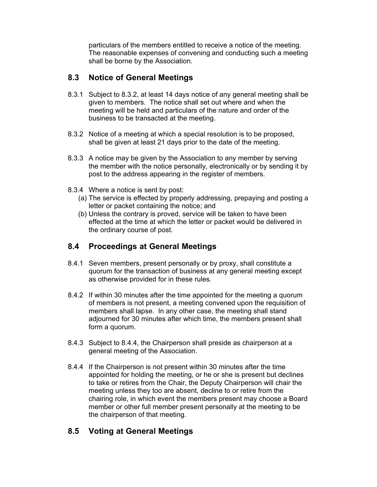particulars of the members entitled to receive a notice of the meeting. The reasonable expenses of convening and conducting such a meeting shall be borne by the Association.

#### **8.3 Notice of General Meetings**

- 8.3.1 Subject to 8.3.2, at least 14 days notice of any general meeting shall be given to members. The notice shall set out where and when the meeting will be held and particulars of the nature and order of the business to be transacted at the meeting.
- 8.3.2 Notice of a meeting at which a special resolution is to be proposed, shall be given at least 21 days prior to the date of the meeting.
- 8.3.3 A notice may be given by the Association to any member by serving the member with the notice personally, electronically or by sending it by post to the address appearing in the register of members.
- 8.3.4 Where a notice is sent by post:
	- (a) The service is effected by properly addressing, prepaying and posting a letter or packet containing the notice; and
	- (b) Unless the contrary is proved, service will be taken to have been effected at the time at which the letter or packet would be delivered in the ordinary course of post.

### **8.4 Proceedings at General Meetings**

- 8.4.1 Seven members, present personally or by proxy, shall constitute a quorum for the transaction of business at any general meeting except as otherwise provided for in these rules.
- 8.4.2 If within 30 minutes after the time appointed for the meeting a quorum of members is not present, a meeting convened upon the requisition of members shall lapse. In any other case, the meeting shall stand adjourned for 30 minutes after which time, the members present shall form a quorum.
- 8.4.3 Subject to 8.4.4, the Chairperson shall preside as chairperson at a general meeting of the Association.
- 8.4.4 If the Chairperson is not present within 30 minutes after the time appointed for holding the meeting, or he or she is present but declines to take or retires from the Chair, the Deputy Chairperson will chair the meeting unless they too are absent, decline to or retire from the chairing role, in which event the members present may choose a Board member or other full member present personally at the meeting to be the chairperson of that meeting.

#### **8.5 Voting at General Meetings**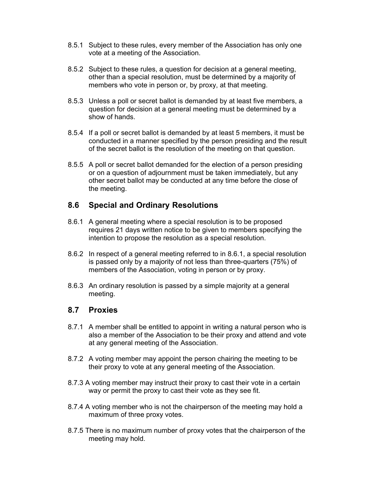- 8.5.1 Subject to these rules, every member of the Association has only one vote at a meeting of the Association.
- 8.5.2 Subject to these rules, a question for decision at a general meeting, other than a special resolution, must be determined by a majority of members who vote in person or, by proxy, at that meeting.
- 8.5.3 Unless a poll or secret ballot is demanded by at least five members, a question for decision at a general meeting must be determined by a show of hands.
- 8.5.4 If a poll or secret ballot is demanded by at least 5 members, it must be conducted in a manner specified by the person presiding and the result of the secret ballot is the resolution of the meeting on that question.
- 8.5.5 A poll or secret ballot demanded for the election of a person presiding or on a question of adjournment must be taken immediately, but any other secret ballot may be conducted at any time before the close of the meeting.

#### **8.6 Special and Ordinary Resolutions**

- 8.6.1 A general meeting where a special resolution is to be proposed requires 21 days written notice to be given to members specifying the intention to propose the resolution as a special resolution.
- 8.6.2 In respect of a general meeting referred to in 8.6.1, a special resolution is passed only by a majority of not less than three-quarters (75%) of members of the Association, voting in person or by proxy.
- 8.6.3 An ordinary resolution is passed by a simple majority at a general meeting.

#### **8.7 Proxies**

- 8.7.1 A member shall be entitled to appoint in writing a natural person who is also a member of the Association to be their proxy and attend and vote at any general meeting of the Association.
- 8.7.2 A voting member may appoint the person chairing the meeting to be their proxy to vote at any general meeting of the Association.
- 8.7.3 A voting member may instruct their proxy to cast their vote in a certain way or permit the proxy to cast their vote as they see fit.
- 8.7.4 A voting member who is not the chairperson of the meeting may hold a maximum of three proxy votes.
- 8.7.5 There is no maximum number of proxy votes that the chairperson of the meeting may hold.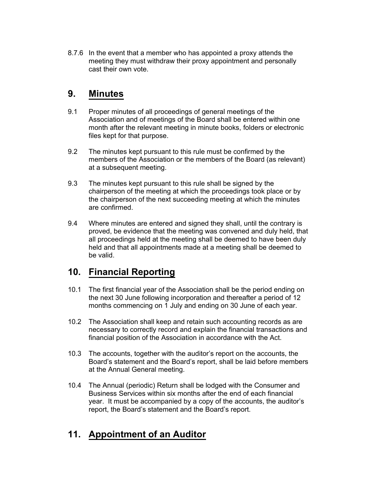8.7.6 In the event that a member who has appointed a proxy attends the meeting they must withdraw their proxy appointment and personally cast their own vote.

## **9. Minutes**

- 9.1 Proper minutes of all proceedings of general meetings of the Association and of meetings of the Board shall be entered within one month after the relevant meeting in minute books, folders or electronic files kept for that purpose.
- 9.2 The minutes kept pursuant to this rule must be confirmed by the members of the Association or the members of the Board (as relevant) at a subsequent meeting.
- 9.3 The minutes kept pursuant to this rule shall be signed by the chairperson of the meeting at which the proceedings took place or by the chairperson of the next succeeding meeting at which the minutes are confirmed.
- 9.4 Where minutes are entered and signed they shall, until the contrary is proved, be evidence that the meeting was convened and duly held, that all proceedings held at the meeting shall be deemed to have been duly held and that all appointments made at a meeting shall be deemed to be valid.

## **10. Financial Reporting**

- 10.1 The first financial year of the Association shall be the period ending on the next 30 June following incorporation and thereafter a period of 12 months commencing on 1 July and ending on 30 June of each year.
- 10.2 The Association shall keep and retain such accounting records as are necessary to correctly record and explain the financial transactions and financial position of the Association in accordance with the Act.
- 10.3 The accounts, together with the auditor's report on the accounts, the Board's statement and the Board's report, shall be laid before members at the Annual General meeting.
- 10.4 The Annual (periodic) Return shall be lodged with the Consumer and Business Services within six months after the end of each financial year. It must be accompanied by a copy of the accounts, the auditor's report, the Board's statement and the Board's report.

## **11. Appointment of an Auditor**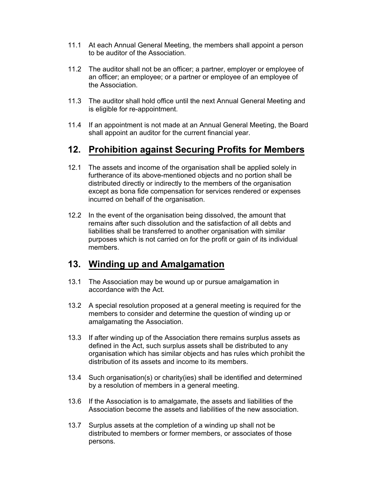- 11.1 At each Annual General Meeting, the members shall appoint a person to be auditor of the Association.
- 11.2 The auditor shall not be an officer; a partner, employer or employee of an officer; an employee; or a partner or employee of an employee of the Association.
- 11.3 The auditor shall hold office until the next Annual General Meeting and is eligible for re-appointment.
- 11.4 If an appointment is not made at an Annual General Meeting, the Board shall appoint an auditor for the current financial year.

## **12. Prohibition against Securing Profits for Members**

- 12.1 The assets and income of the organisation shall be applied solely in furtherance of its above-mentioned objects and no portion shall be distributed directly or indirectly to the members of the organisation except as bona fide compensation for services rendered or expenses incurred on behalf of the organisation.
- 12.2 In the event of the organisation being dissolved, the amount that remains after such dissolution and the satisfaction of all debts and liabilities shall be transferred to another organisation with similar purposes which is not carried on for the profit or gain of its individual members.

## **13. Winding up and Amalgamation**

- 13.1 The Association may be wound up or pursue amalgamation in accordance with the Act.
- 13.2 A special resolution proposed at a general meeting is required for the members to consider and determine the question of winding up or amalgamating the Association.
- 13.3 If after winding up of the Association there remains surplus assets as defined in the Act, such surplus assets shall be distributed to any organisation which has similar objects and has rules which prohibit the distribution of its assets and income to its members.
- 13.4 Such organisation(s) or charity(ies) shall be identified and determined by a resolution of members in a general meeting.
- 13.6 If the Association is to amalgamate, the assets and liabilities of the Association become the assets and liabilities of the new association.
- 13.7 Surplus assets at the completion of a winding up shall not be distributed to members or former members, or associates of those persons.